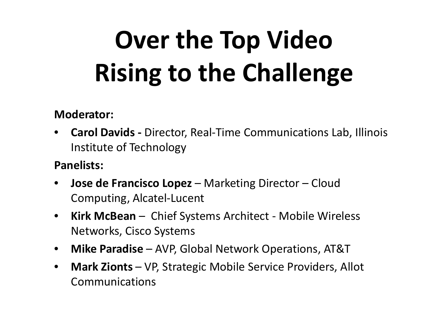## **Over the Top Video Rising to the Challenge**

#### **Moderator:**

• **Carol Davids -** Director, Real-Time Communications Lab, Illinois Institute of Technology

### **Panelists:**

- **Jose de Francisco Lopez**  Marketing Director Cloud Computing, Alcatel-Lucent
- **Kirk McBean** Chief Systems Architect Mobile Wireless Networks, Cisco Systems
- **Mike Paradise** AVP, Global Network Operations, AT&T
- **Mark Zionts** VP, Strategic Mobile Service Providers, Allot Communications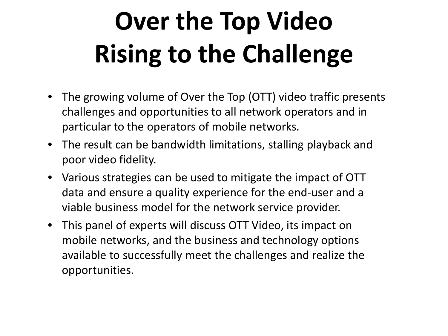# **Over the Top Video Rising to the Challenge**

- The growing volume of Over the Top (OTT) video traffic presents challenges and opportunities to all network operators and in particular to the operators of mobile networks.
- The result can be bandwidth limitations, stalling playback and poor video fidelity.
- Various strategies can be used to mitigate the impact of OTT data and ensure a quality experience for the end-user and a viable business model for the network service provider.
- This panel of experts will discuss OTT Video, its impact on mobile networks, and the business and technology options available to successfully meet the challenges and realize the opportunities.